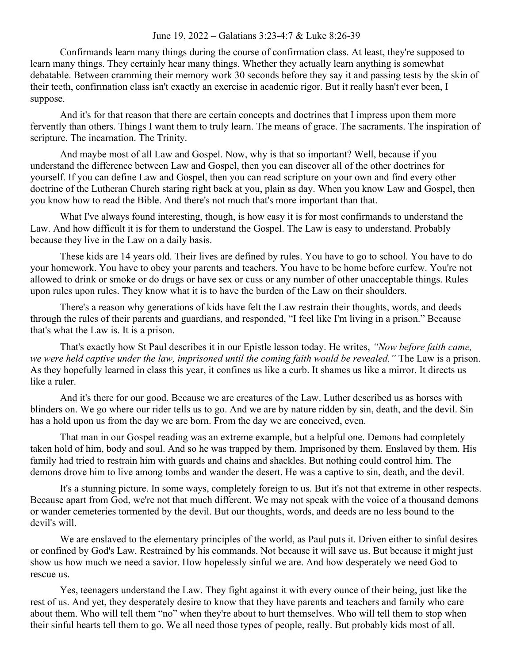## June 19, 2022 – Galatians 3:23-4:7 & Luke 8:26-39

Confirmands learn many things during the course of confirmation class. At least, they're supposed to learn many things. They certainly hear many things. Whether they actually learn anything is somewhat debatable. Between cramming their memory work 30 seconds before they say it and passing tests by the skin of their teeth, confirmation class isn't exactly an exercise in academic rigor. But it really hasn't ever been, I suppose.

And it's for that reason that there are certain concepts and doctrines that I impress upon them more fervently than others. Things I want them to truly learn. The means of grace. The sacraments. The inspiration of scripture. The incarnation. The Trinity.

And maybe most of all Law and Gospel. Now, why is that so important? Well, because if you understand the difference between Law and Gospel, then you can discover all of the other doctrines for yourself. If you can define Law and Gospel, then you can read scripture on your own and find every other doctrine of the Lutheran Church staring right back at you, plain as day. When you know Law and Gospel, then you know how to read the Bible. And there's not much that's more important than that.

What I've always found interesting, though, is how easy it is for most confirmands to understand the Law. And how difficult it is for them to understand the Gospel. The Law is easy to understand. Probably because they live in the Law on a daily basis.

These kids are 14 years old. Their lives are defined by rules. You have to go to school. You have to do your homework. You have to obey your parents and teachers. You have to be home before curfew. You're not allowed to drink or smoke or do drugs or have sex or cuss or any number of other unacceptable things. Rules upon rules upon rules. They know what it is to have the burden of the Law on their shoulders.

There's a reason why generations of kids have felt the Law restrain their thoughts, words, and deeds through the rules of their parents and guardians, and responded, "I feel like I'm living in a prison." Because that's what the Law is. It is a prison.

That's exactly how St Paul describes it in our Epistle lesson today. He writes, *"Now before faith came, we were held captive under the law, imprisoned until the coming faith would be revealed."* The Law is a prison. As they hopefully learned in class this year, it confines us like a curb. It shames us like a mirror. It directs us like a ruler.

And it's there for our good. Because we are creatures of the Law. Luther described us as horses with blinders on. We go where our rider tells us to go. And we are by nature ridden by sin, death, and the devil. Sin has a hold upon us from the day we are born. From the day we are conceived, even.

That man in our Gospel reading was an extreme example, but a helpful one. Demons had completely taken hold of him, body and soul. And so he was trapped by them. Imprisoned by them. Enslaved by them. His family had tried to restrain him with guards and chains and shackles. But nothing could control him. The demons drove him to live among tombs and wander the desert. He was a captive to sin, death, and the devil.

It's a stunning picture. In some ways, completely foreign to us. But it's not that extreme in other respects. Because apart from God, we're not that much different. We may not speak with the voice of a thousand demons or wander cemeteries tormented by the devil. But our thoughts, words, and deeds are no less bound to the devil's will.

We are enslaved to the elementary principles of the world, as Paul puts it. Driven either to sinful desires or confined by God's Law. Restrained by his commands. Not because it will save us. But because it might just show us how much we need a savior. How hopelessly sinful we are. And how desperately we need God to rescue us.

Yes, teenagers understand the Law. They fight against it with every ounce of their being, just like the rest of us. And yet, they desperately desire to know that they have parents and teachers and family who care about them. Who will tell them "no" when they're about to hurt themselves. Who will tell them to stop when their sinful hearts tell them to go. We all need those types of people, really. But probably kids most of all.